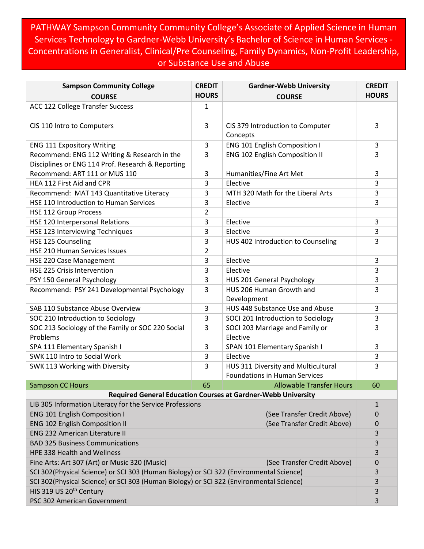PATHWAY Sampson Community Community College's Associate of Applied Science in Human Services Technology to Gardner-Webb University's Bachelor of Science in Human Services - Concentrations in Generalist, Clinical/Pre Counseling, Family Dynamics, Non-Profit Leadership, or Substance Use and Abuse

| <b>Sampson Community College</b>                                                                  | <b>CREDIT</b> | <b>Gardner-Webb University</b>                                              | <b>CREDIT</b> |  |
|---------------------------------------------------------------------------------------------------|---------------|-----------------------------------------------------------------------------|---------------|--|
| <b>COURSE</b>                                                                                     | <b>HOURS</b>  | <b>COURSE</b>                                                               | <b>HOURS</b>  |  |
| ACC 122 College Transfer Success                                                                  | 1             |                                                                             |               |  |
| CIS 110 Intro to Computers                                                                        | 3             | CIS 379 Introduction to Computer<br>Concepts                                | 3             |  |
| <b>ENG 111 Expository Writing</b>                                                                 | 3             | <b>ENG 101 English Composition I</b>                                        | 3             |  |
| Recommend: ENG 112 Writing & Research in the<br>Disciplines or ENG 114 Prof. Research & Reporting | 3             | ENG 102 English Composition II                                              | 3             |  |
| Recommend: ART 111 or MUS 110                                                                     | 3             | Humanities/Fine Art Met                                                     | 3             |  |
| HEA 112 First Aid and CPR                                                                         | 3             | Elective                                                                    | 3             |  |
| Recommend: MAT 143 Quantitative Literacy                                                          | 3             | MTH 320 Math for the Liberal Arts                                           | 3             |  |
| <b>HSE 110 Introduction to Human Services</b>                                                     | 3             | Elective                                                                    | 3             |  |
| <b>HSE 112 Group Process</b>                                                                      | 2             |                                                                             |               |  |
| HSE 120 Interpersonal Relations                                                                   | 3             | Elective                                                                    | 3             |  |
| HSE 123 Interviewing Techniques                                                                   | 3             | Elective                                                                    | 3             |  |
| HSE 125 Counseling                                                                                | 3             | HUS 402 Introduction to Counseling                                          | 3             |  |
| <b>HSE 210 Human Services Issues</b>                                                              | 2             |                                                                             |               |  |
| HSE 220 Case Management                                                                           | 3             | Elective                                                                    | 3             |  |
| <b>HSE 225 Crisis Intervention</b>                                                                | 3             | Elective                                                                    | 3             |  |
| PSY 150 General Psychology                                                                        | 3             | HUS 201 General Psychology                                                  | 3             |  |
| Recommend: PSY 241 Developmental Psychology                                                       | 3             | HUS 206 Human Growth and<br>Development                                     | 3             |  |
| SAB 110 Substance Abuse Overview                                                                  | 3             | HUS 448 Substance Use and Abuse                                             | 3             |  |
| SOC 210 Introduction to Sociology                                                                 | 3             | SOCI 201 Introduction to Sociology                                          | 3             |  |
| SOC 213 Sociology of the Family or SOC 220 Social<br>Problems                                     | 3             | SOCI 203 Marriage and Family or<br>Elective                                 | 3             |  |
| SPA 111 Elementary Spanish I                                                                      | 3             | SPAN 101 Elementary Spanish I                                               | 3             |  |
| SWK 110 Intro to Social Work                                                                      | 3             | Elective                                                                    | 3             |  |
| SWK 113 Working with Diversity                                                                    | 3             | HUS 311 Diversity and Multicultural<br><b>Foundations in Human Services</b> | 3             |  |
| <b>Sampson CC Hours</b>                                                                           | 65            | <b>Allowable Transfer Hours</b>                                             | 60            |  |
| <b>Required General Education Courses at Gardner-Webb University</b>                              |               |                                                                             |               |  |
| LIB 305 Information Literacy for the Service Professions                                          |               |                                                                             | $\mathbf{1}$  |  |
| <b>ENG 101 English Composition I</b>                                                              |               | (See Transfer Credit Above)                                                 | 0             |  |
| <b>ENG 102 English Composition II</b>                                                             |               | (See Transfer Credit Above)                                                 | 0             |  |
| <b>ENG 232 American Literature II</b>                                                             |               |                                                                             | 3             |  |
| <b>BAD 325 Business Communications</b>                                                            |               |                                                                             | 3             |  |
| HPE 338 Health and Wellness                                                                       |               |                                                                             | 3             |  |
| Fine Arts: Art 307 (Art) or Music 320 (Music)<br>(See Transfer Credit Above)                      |               |                                                                             |               |  |
| SCI 302(Physical Science) or SCI 303 (Human Biology) or SCI 322 (Environmental Science)           |               |                                                                             | 3             |  |
| SCI 302(Physical Science) or SCI 303 (Human Biology) or SCI 322 (Environmental Science)           |               |                                                                             | 3             |  |
| HIS 319 US 20 <sup>th</sup> Century                                                               |               |                                                                             | 3             |  |
| PSC 302 American Government                                                                       |               |                                                                             | 3             |  |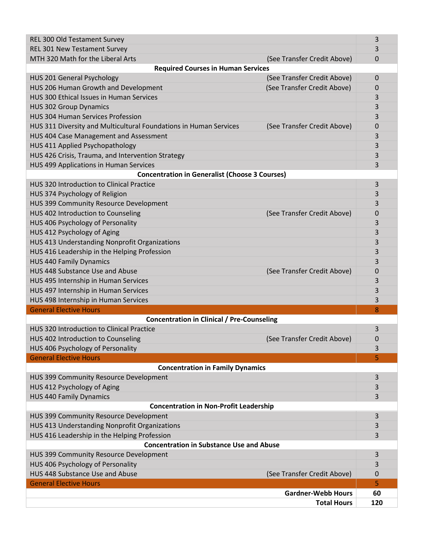| REL 300 Old Testament Survey                                                                     | 3           |  |  |
|--------------------------------------------------------------------------------------------------|-------------|--|--|
| REL 301 New Testament Survey                                                                     | 3           |  |  |
| MTH 320 Math for the Liberal Arts<br>(See Transfer Credit Above)                                 | 0           |  |  |
| <b>Required Courses in Human Services</b>                                                        |             |  |  |
| (See Transfer Credit Above)<br><b>HUS 201 General Psychology</b>                                 | $\mathbf 0$ |  |  |
| HUS 206 Human Growth and Development<br>(See Transfer Credit Above)                              | 0           |  |  |
| HUS 300 Ethical Issues in Human Services                                                         | 3           |  |  |
| <b>HUS 302 Group Dynamics</b>                                                                    | 3           |  |  |
| <b>HUS 304 Human Services Profession</b>                                                         | 3           |  |  |
| HUS 311 Diversity and Multicultural Foundations in Human Services<br>(See Transfer Credit Above) | 0           |  |  |
| HUS 404 Case Management and Assessment                                                           | 3           |  |  |
| HUS 411 Applied Psychopathology                                                                  | 3           |  |  |
| HUS 426 Crisis, Trauma, and Intervention Strategy                                                | 3           |  |  |
| HUS 499 Applications in Human Services                                                           | 3           |  |  |
| <b>Concentration in Generalist (Choose 3 Courses)</b>                                            |             |  |  |
| HUS 320 Introduction to Clinical Practice                                                        | 3           |  |  |
| HUS 374 Psychology of Religion                                                                   | 3           |  |  |
| HUS 399 Community Resource Development                                                           | 3           |  |  |
| HUS 402 Introduction to Counseling<br>(See Transfer Credit Above)                                | 0           |  |  |
| HUS 406 Psychology of Personality                                                                | 3           |  |  |
| HUS 412 Psychology of Aging                                                                      | 3           |  |  |
| HUS 413 Understanding Nonprofit Organizations                                                    | 3           |  |  |
| HUS 416 Leadership in the Helping Profession                                                     | 3           |  |  |
| <b>HUS 440 Family Dynamics</b>                                                                   | 3           |  |  |
| HUS 448 Substance Use and Abuse<br>(See Transfer Credit Above)                                   | 0           |  |  |
| HUS 495 Internship in Human Services                                                             | 3           |  |  |
| HUS 497 Internship in Human Services                                                             | 3           |  |  |
| HUS 498 Internship in Human Services                                                             | 3           |  |  |
| <b>General Elective Hours</b><br>8                                                               |             |  |  |
| <b>Concentration in Clinical / Pre-Counseling</b>                                                |             |  |  |
| HUS 320 Introduction to Clinical Practice                                                        | 3           |  |  |
| HUS 402 Introduction to Counseling<br>(See Transfer Credit Above)                                | 0           |  |  |
| HUS 406 Psychology of Personality                                                                | 3           |  |  |
| <b>General Elective Hours</b>                                                                    | 5           |  |  |
| <b>Concentration in Family Dynamics</b><br>HUS 399 Community Resource Development                | 3           |  |  |
| HUS 412 Psychology of Aging                                                                      | 3           |  |  |
| <b>HUS 440 Family Dynamics</b>                                                                   | 3           |  |  |
| <b>Concentration in Non-Profit Leadership</b>                                                    |             |  |  |
| HUS 399 Community Resource Development                                                           | 3           |  |  |
| HUS 413 Understanding Nonprofit Organizations                                                    | 3           |  |  |
| HUS 416 Leadership in the Helping Profession                                                     | 3           |  |  |
| <b>Concentration in Substance Use and Abuse</b>                                                  |             |  |  |
| HUS 399 Community Resource Development                                                           | 3           |  |  |
| HUS 406 Psychology of Personality                                                                | 3           |  |  |
| HUS 448 Substance Use and Abuse<br>(See Transfer Credit Above)                                   | 0           |  |  |
| <b>General Elective Hours</b>                                                                    | 5           |  |  |
| <b>Gardner-Webb Hours</b>                                                                        | 60          |  |  |
| <b>Total Hours</b>                                                                               | 120         |  |  |
|                                                                                                  |             |  |  |